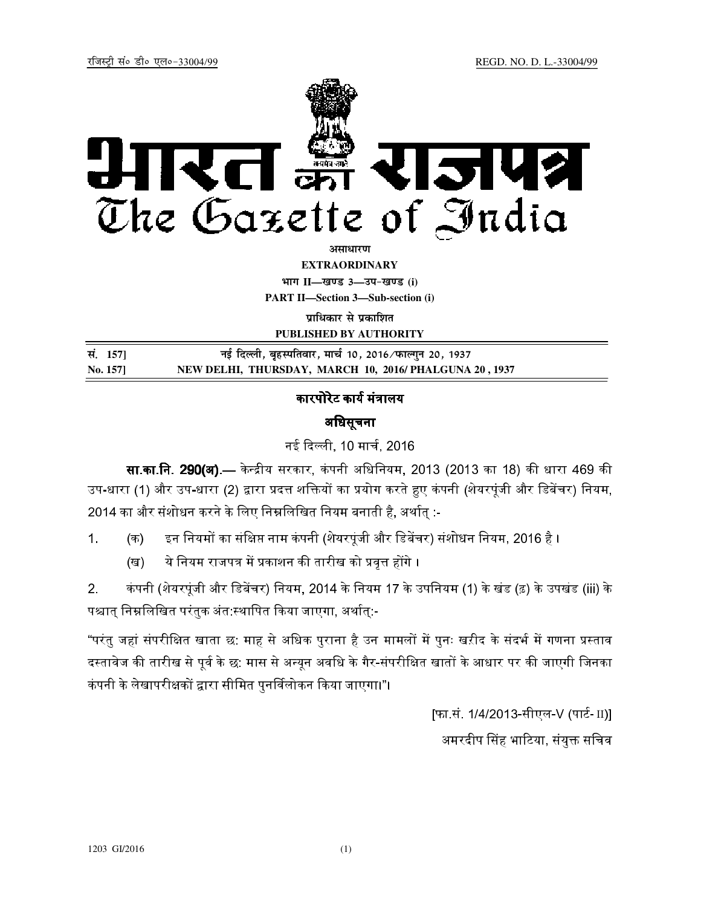

अ**माधार**ण

**EXTRAORDINARY**

**Hkkx II—[k.M 3—mi&[k.M (i) PART II—Section 3—Sub-section (i)** 

**पाधिकार से प्रकाशित** 

**PUBLISHED BY AUTHORITY**

| सं. 1571 | नई दिल्ली, बृहस्पतिवार, मार्च 10, 2016 ⁄ फाल्गुन 20, 1937 |
|----------|-----------------------------------------------------------|
| No. 157  | NEW DELHI, THURSDAY, MARCH 10, 2016/ PHALGUNA 20, 1937    |

## कारपोरेट कार्य मंत्रालय

## अिधसूचना

नई दली, 10 माच, 2016

**सा.का.नि. 290(अ).**— केन्द्रीय सरकार, कंपनी अधिनियम, 2013 (2013 का 18) की धारा 469 की उप-धारा (1) और उप-धारा (2) द्वारा प्रदत्त शक्तियों का प्रयोग करते हुए कंपनी (शेयरपूंजी और डिबेंचर) नियम,  $2014$  का और संशोधन करने के लिए निम्नलिखित नियम बनाती है, अर्थात् :-

- 1. (क) इन नियमों का संक्षिप्त नाम कंपनी (शेयरपूंजी और डिबेंचर) संशोधन नियम, 2016 है ।
	- (ख) ये नियम राजपत्र में प्रकाशन की तारीख को प्रवृत्त होंगे ।

2. कंपनी (शेयरपूंजी और डिबेंचर) नियम, 2014 के नियम 17 के उपनियम (1) के खंड (ढ़) के उपखंड (iii) के पश्चात् निम्नलिखित परंतुक अंत:स्थापित किया जाएगा, अर्थात्:-

"परंतु जहां संपरीक्षित खाता छ: माह से अधिक पुराना है उन मामलों में पुनः खऱीद के संदर्भ में गणना प्रस्ताव दस्तावेज की तारीख से पूर्व के छ: मास से अन्यून अवधि के गैर-संपरीक्षित खातों के आधार पर की जाएगी जिनका कंपनी के लेखापरीक्षकों द्वारा सीमित पुनर्विलोकन किया जाएगा।"।

> [फा.सं. 1/4/2013-सीएल-V (पार्ट- II)] अमरदीप सिंह भाटिया, संयुक्त सचिव